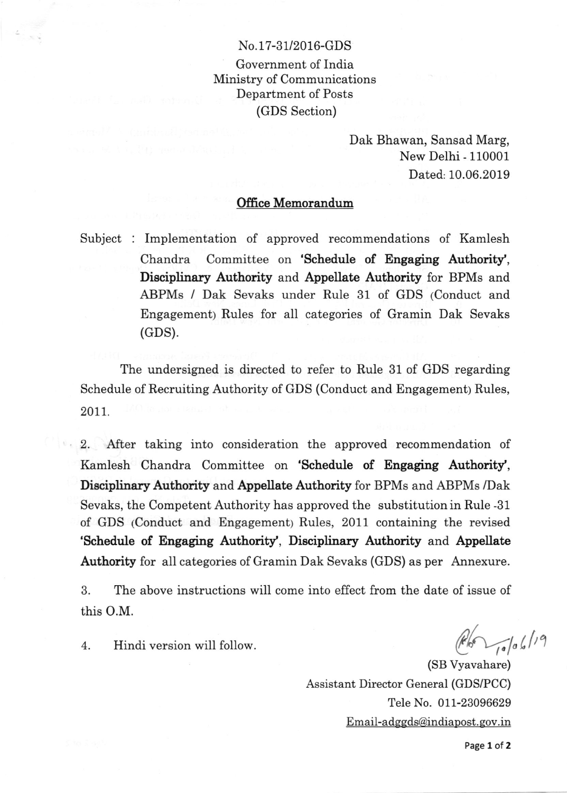## No.17-31/2016-GDS

Government of India Ministry of Communications Department of Posts (GDS Section)

> Dak Bhawan, Sansad Marg, New Delhi - 110001 Dated: 10.06.2019

## Office Memorandum

Subject : Implementation of approved recommendations of Kamlesh Chandra Committee on 'Schedule of Engaging Authority', Disciplinary Authority and Appellate Authority for BPMs and ABPMs / Dak Sevaks under Rule 31 of GDS (Conduct and Engagementy Rules for all categories of Gramin Dak Sevaks (GDS).

The undersigned is directed to refer to Rule 31 of GDS regarding Schedule of Recruiting Authority of GDS (Conduct and Engagement) Rules, 2011.

2. After taking into consideration the approved recommendation of Kamlesh Chandra Committee on 'Schedule of Engaging Authority', Disciplinary Authority and Appellate Authority for BPMs and ABPMs /Dak Sevaks, the Competent Authority has approved the substitution in Rule -31 of GDS (Conduct and Engagement; Rules, 2011 containing the revised 'Schedule of Engaging Authority', Disciplinary Authority and Appellate Authority for all categories of Gramin Dak Sevaks (GDS) as per Annexure.

3. The above instructions will come into effect from the date of issue of this O.M.

4. Hindi version will follow.

 $\frac{1}{10}$  to 6/19

(SB Vyavahare) Assistant Director General (GDS/PCC) Tele No. 011-23096629 <u>Email-adggds@indiapost.gov.in</u>

Page 1 of 2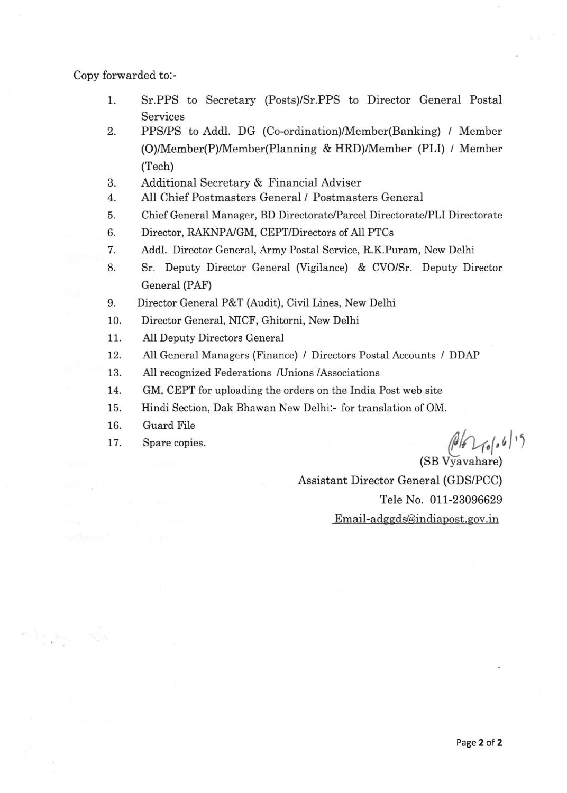Copy forwarded to:-

- 1 ST.PPS to Secretary (Posts)/Sr.PPS to Director General Postal Services
- 2. PPS/PS to Addl. DG (Co-ordination)/Member(Banking) / Member (O)/Member(P)/Member(Planning & HRD)/Member (PLI) / Member (Tech)
- Additional Secretary & Financial Adviser  $3.$
- All Chief Postmasters General / Postmasters General 4
- Chief General Manager, BD Directorate/Parcel Directorate/Pll Directorate 5
- Director, RAKNPA/GM, CEPT/Directors of All PTCs 6
- Addl. Director General, Army Postal Service, R.K.Puram, New Delhi 7
- Sr. Deputy Director General (Vigilance) & CVO/Sr. Deputy Director General (PAF) 8.
- 9. Director General P&T (Audit), Civil Lines, New Delhi
- 10. Director General, NICF, Ghitorni, New Delhi
- 11. AII Deputy Directors General
- 12. AII General Managers (Finance) / Directors Postal Accounts / DDAP
- 13. All recognized Federations /Unions /Associations
- 14. GM, CEPT for uploading the orders on the India Post web site
- 15. Hindi Section, Dak Bhawan New Delhi:- for translation of OM.
- 16. Guard FiIe
- 17.

Spare copies.  $\left(\frac{\beta}{\beta}\right)_{1,\beta}$ 

(SB Vyavahare) Assistant Director General (GDS/PCC) Tele No. 011-23096629 Email-adseds@indiapost. eov.in